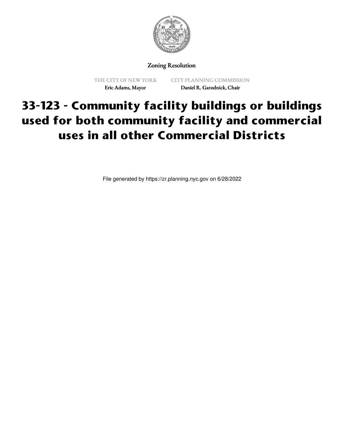

## Zoning Resolution

THE CITY OF NEW YORK Eric Adams, Mayor

CITY PLANNING COMMISSION Daniel R. Garodnick, Chair

## **33-123 - Community facility buildings or buildings used for both community facility and commercial uses in all other Commercial Districts**

File generated by https://zr.planning.nyc.gov on 6/28/2022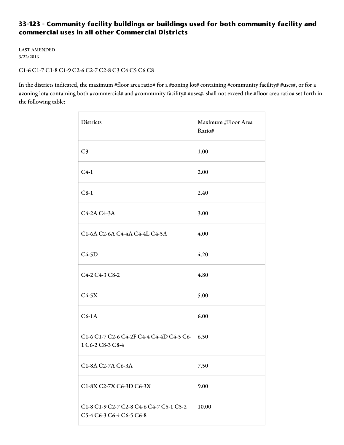## **33-123 - Community facility buildings or buildings used for both community facility and commercial uses in all other Commercial Districts**

LAST AMENDED 3/22/2016

## C1-6 C1-7 C1-8 C1-9 C2-6 C2-7 C2-8 C3 C4 C5 C6 C8

In the districts indicated, the maximum #floor area ratio# for a #zoning lot# containing #community facility# #uses#, or for a #zoning lot# containing both #commercial# and #community facility# #uses#, shall not exceed the #floor area ratio# set forth in the following table:

| <b>Districts</b>                                                    | Maximum #Floor Area<br>Ratio# |
|---------------------------------------------------------------------|-------------------------------|
| C <sub>3</sub>                                                      | 1.00                          |
| $C4-1$                                                              | 2.00                          |
| $C8-1$                                                              | 2.40                          |
| C4-2A C4-3A                                                         | 3.00                          |
| C1-6A C2-6A C4-4A C4-4L C4-5A                                       | 4.00                          |
| $C4-5D$                                                             | 4.20                          |
| C4-2 C4-3 C8-2                                                      | 4.80                          |
| $C4-5X$                                                             | 5.00                          |
| $C6-1A$                                                             | 6.00                          |
| C1-6 C1-7 C2-6 C4-2F C4-4 C4-4D C4-5 C6-<br>1 C6-2 C8-3 C8-4        | 6.50                          |
| C1-8A C2-7A C6-3A                                                   | 7.50                          |
| C1-8X C2-7X C6-3D C6-3X                                             | 9.00                          |
| C1-8 C1-9 C2-7 C2-8 C4-6 C4-7 C5-1 C5-2<br>C5-4 C6-3 C6-4 C6-5 C6-8 | 10.00                         |